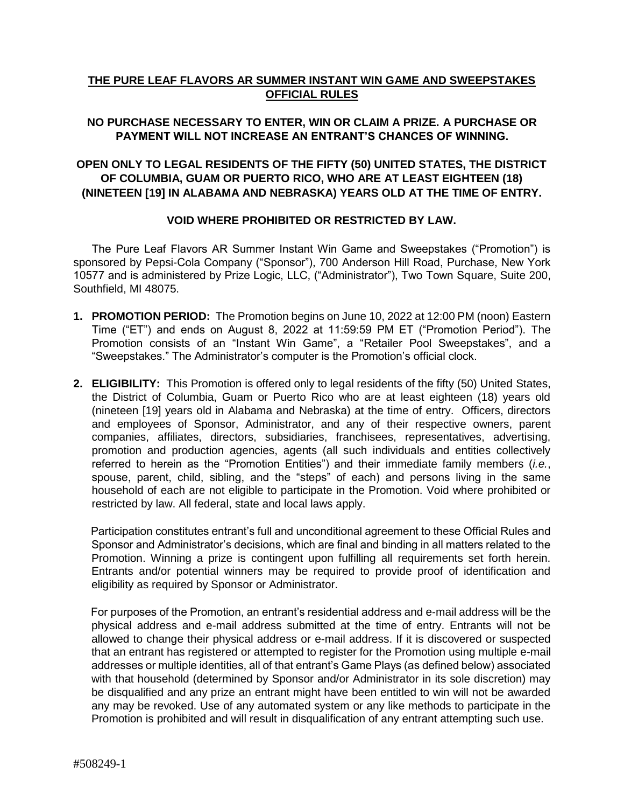## **THE PURE LEAF FLAVORS AR SUMMER INSTANT WIN GAME AND SWEEPSTAKES OFFICIAL RULES**

## **NO PURCHASE NECESSARY TO ENTER, WIN OR CLAIM A PRIZE. A PURCHASE OR PAYMENT WILL NOT INCREASE AN ENTRANT'S CHANCES OF WINNING.**

## **OPEN ONLY TO LEGAL RESIDENTS OF THE FIFTY (50) UNITED STATES, THE DISTRICT OF COLUMBIA, GUAM OR PUERTO RICO, WHO ARE AT LEAST EIGHTEEN (18) (NINETEEN [19] IN ALABAMA AND NEBRASKA) YEARS OLD AT THE TIME OF ENTRY.**

### **VOID WHERE PROHIBITED OR RESTRICTED BY LAW.**

The Pure Leaf Flavors AR Summer Instant Win Game and Sweepstakes ("Promotion") is sponsored by Pepsi-Cola Company ("Sponsor"), 700 Anderson Hill Road, Purchase, New York 10577 and is administered by Prize Logic, LLC, ("Administrator"), Two Town Square, Suite 200, Southfield, MI 48075.

- **1. PROMOTION PERIOD:** The Promotion begins on June 10, 2022 at 12:00 PM (noon) Eastern Time ("ET") and ends on August 8, 2022 at 11:59:59 PM ET ("Promotion Period"). The Promotion consists of an "Instant Win Game", a "Retailer Pool Sweepstakes", and a "Sweepstakes." The Administrator's computer is the Promotion's official clock.
- **2. ELIGIBILITY:** This Promotion is offered only to legal residents of the fifty (50) United States, the District of Columbia, Guam or Puerto Rico who are at least eighteen (18) years old (nineteen [19] years old in Alabama and Nebraska) at the time of entry. Officers, directors and employees of Sponsor, Administrator, and any of their respective owners, parent companies, affiliates, directors, subsidiaries, franchisees, representatives, advertising, promotion and production agencies, agents (all such individuals and entities collectively referred to herein as the "Promotion Entities") and their immediate family members (*i.e.*, spouse, parent, child, sibling, and the "steps" of each) and persons living in the same household of each are not eligible to participate in the Promotion. Void where prohibited or restricted by law. All federal, state and local laws apply.

Participation constitutes entrant's full and unconditional agreement to these Official Rules and Sponsor and Administrator's decisions, which are final and binding in all matters related to the Promotion. Winning a prize is contingent upon fulfilling all requirements set forth herein. Entrants and/or potential winners may be required to provide proof of identification and eligibility as required by Sponsor or Administrator.

For purposes of the Promotion, an entrant's residential address and e-mail address will be the physical address and e-mail address submitted at the time of entry. Entrants will not be allowed to change their physical address or e-mail address. If it is discovered or suspected that an entrant has registered or attempted to register for the Promotion using multiple e-mail addresses or multiple identities, all of that entrant's Game Plays (as defined below) associated with that household (determined by Sponsor and/or Administrator in its sole discretion) may be disqualified and any prize an entrant might have been entitled to win will not be awarded any may be revoked. Use of any automated system or any like methods to participate in the Promotion is prohibited and will result in disqualification of any entrant attempting such use.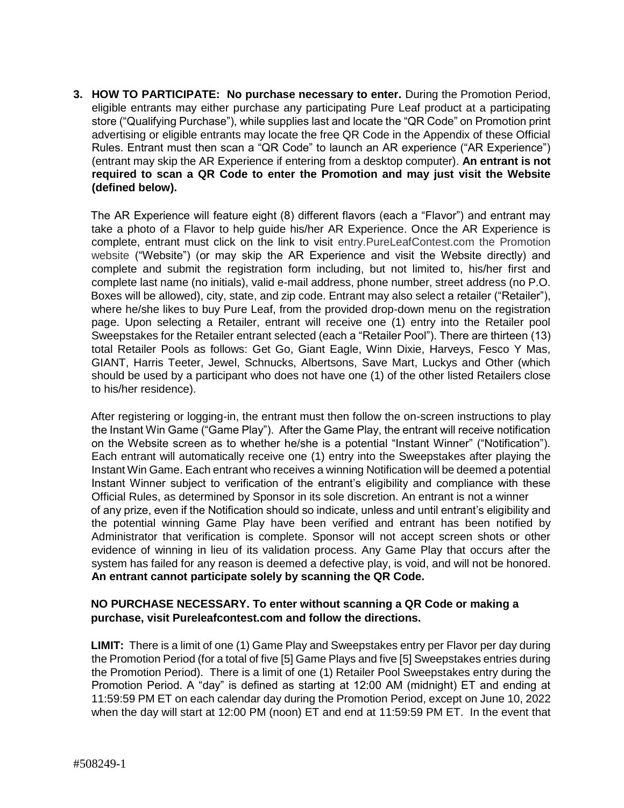**3. HOW TO PARTICIPATE: No purchase necessary to enter.** During the Promotion Period, eligible entrants may either purchase any participating Pure Leaf product at a participating store ("Qualifying Purchase"), while supplies last and locate the "QR Code" on Promotion print advertising or eligible entrants may locate the free QR Code in the Appendix of these Official Rules. Entrant must then scan a "QR Code" to launch an AR experience ("AR Experience") (entrant may skip the AR Experience if entering from a desktop computer). **An entrant is not required to scan a QR Code to enter the Promotion and may just visit the Website (defined below).**

The AR Experience will feature eight (8) different flavors (each a "Flavor") and entrant may take a photo of a Flavor to help guide his/her AR Experience. Once the AR Experience is complete, entrant must click on the link to visit entry.PureLeafContest.com the Promotion website ("Website") (or may skip the AR Experience and visit the Website directly) and complete and submit the registration form including, but not limited to, his/her first and complete last name (no initials), valid e-mail address, phone number, street address (no P.O. Boxes will be allowed), city, state, and zip code. Entrant may also select a retailer ("Retailer"), where he/she likes to buy Pure Leaf, from the provided drop-down menu on the registration page. Upon selecting a Retailer, entrant will receive one (1) entry into the Retailer pool Sweepstakes for the Retailer entrant selected (each a "Retailer Pool"). There are thirteen (13) total Retailer Pools as follows: Get Go, Giant Eagle, Winn Dixie, Harveys, Fesco Y Mas, GIANT, Harris Teeter, Jewel, Schnucks, Albertsons, Save Mart, Luckys and Other (which should be used by a participant who does not have one (1) of the other listed Retailers close to his/her residence).

After registering or logging-in, the entrant must then follow the on-screen instructions to play the Instant Win Game ("Game Play"). After the Game Play, the entrant will receive notification on the Website screen as to whether he/she is a potential "Instant Winner" ("Notification"). Each entrant will automatically receive one (1) entry into the Sweepstakes after playing the Instant Win Game. Each entrant who receives a winning Notification will be deemed a potential Instant Winner subject to verification of the entrant's eligibility and compliance with these Official Rules, as determined by Sponsor in its sole discretion. An entrant is not a winner of any prize, even if the Notification should so indicate, unless and until entrant's eligibility and the potential winning Game Play have been verified and entrant has been notified by Administrator that verification is complete. Sponsor will not accept screen shots or other evidence of winning in lieu of its validation process. Any Game Play that occurs after the system has failed for any reason is deemed a defective play, is void, and will not be honored. **An entrant cannot participate solely by scanning the QR Code.** 

### **NO PURCHASE NECESSARY. To enter without scanning a QR Code or making a purchase, visit Pureleafcontest.com and follow the directions.**

**LIMIT:** There is a limit of one (1) Game Play and Sweepstakes entry per Flavor per day during the Promotion Period (for a total of five [5] Game Plays and five [5] Sweepstakes entries during the Promotion Period). There is a limit of one (1) Retailer Pool Sweepstakes entry during the Promotion Period. A "day" is defined as starting at 12:00 AM (midnight) ET and ending at 11:59:59 PM ET on each calendar day during the Promotion Period, except on June 10, 2022 when the day will start at 12:00 PM (noon) ET and end at 11:59:59 PM ET. In the event that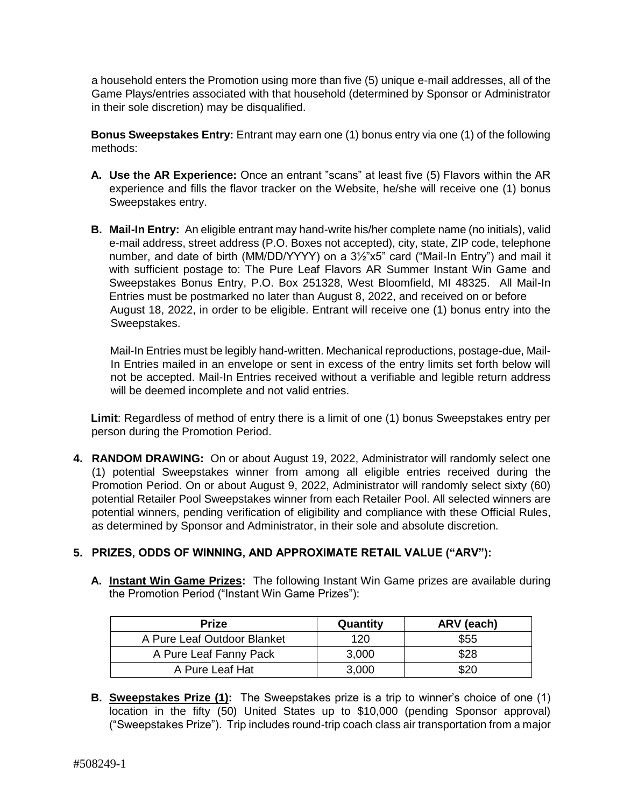a household enters the Promotion using more than five (5) unique e-mail addresses, all of the Game Plays/entries associated with that household (determined by Sponsor or Administrator in their sole discretion) may be disqualified.

**Bonus Sweepstakes Entry:** Entrant may earn one (1) bonus entry via one (1) of the following methods:

- **A. Use the AR Experience:** Once an entrant "scans" at least five (5) Flavors within the AR experience and fills the flavor tracker on the Website, he/she will receive one (1) bonus Sweepstakes entry.
- **B. Mail-In Entry:** An eligible entrant may hand-write his/her complete name (no initials), valid e-mail address, street address (P.O. Boxes not accepted), city, state, ZIP code, telephone number, and date of birth (MM/DD/YYYY) on a 3½"x5" card ("Mail-In Entry") and mail it with sufficient postage to: The Pure Leaf Flavors AR Summer Instant Win Game and Sweepstakes Bonus Entry, P.O. Box 251328, West Bloomfield, MI 48325. All Mail-In Entries must be postmarked no later than August 8, 2022, and received on or before August 18, 2022, in order to be eligible. Entrant will receive one (1) bonus entry into the Sweepstakes.

Mail-In Entries must be legibly hand-written. Mechanical reproductions, postage-due, Mail-In Entries mailed in an envelope or sent in excess of the entry limits set forth below will not be accepted. Mail-In Entries received without a verifiable and legible return address will be deemed incomplete and not valid entries.

**Limit**: Regardless of method of entry there is a limit of one (1) bonus Sweepstakes entry per person during the Promotion Period.

**4. RANDOM DRAWING:** On or about August 19, 2022, Administrator will randomly select one (1) potential Sweepstakes winner from among all eligible entries received during the Promotion Period. On or about August 9, 2022, Administrator will randomly select sixty (60) potential Retailer Pool Sweepstakes winner from each Retailer Pool. All selected winners are potential winners, pending verification of eligibility and compliance with these Official Rules, as determined by Sponsor and Administrator, in their sole and absolute discretion.

# **5. PRIZES, ODDS OF WINNING, AND APPROXIMATE RETAIL VALUE ("ARV"):**

**A. Instant Win Game Prizes:** The following Instant Win Game prizes are available during the Promotion Period ("Instant Win Game Prizes"):

| <b>Prize</b>                | Quantity | ARV (each) |
|-----------------------------|----------|------------|
| A Pure Leaf Outdoor Blanket | 120      | \$55       |
| A Pure Leaf Fanny Pack      | 3,000    | \$28       |
| A Pure Leaf Hat             | 3,000    | \$20       |

**B. Sweepstakes Prize (1):** The Sweepstakes prize is a trip to winner's choice of one (1) location in the fifty (50) United States up to \$10,000 (pending Sponsor approval) ("Sweepstakes Prize"). Trip includes round-trip coach class air transportation from a major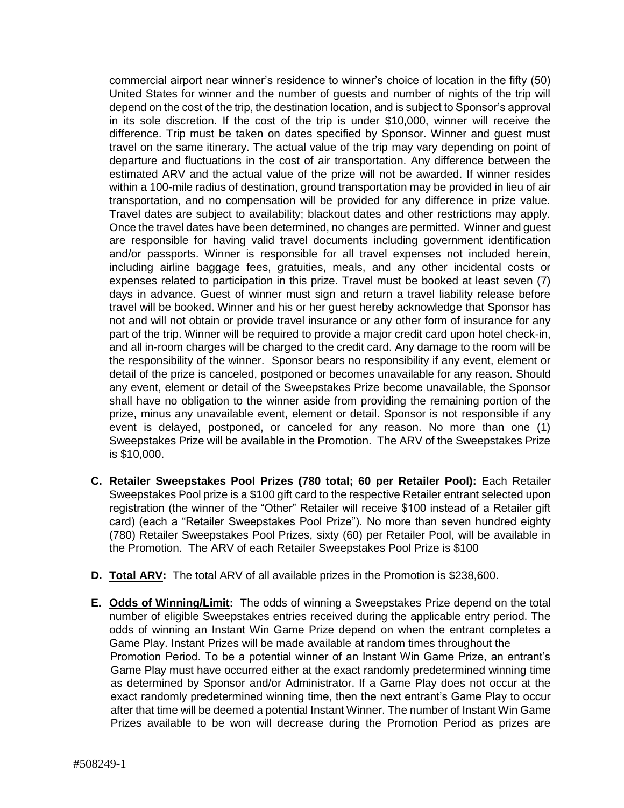commercial airport near winner's residence to winner's choice of location in the fifty (50) United States for winner and the number of guests and number of nights of the trip will depend on the cost of the trip, the destination location, and is subject to Sponsor's approval in its sole discretion. If the cost of the trip is under \$10,000, winner will receive the difference. Trip must be taken on dates specified by Sponsor. Winner and guest must travel on the same itinerary. The actual value of the trip may vary depending on point of departure and fluctuations in the cost of air transportation. Any difference between the estimated ARV and the actual value of the prize will not be awarded. If winner resides within a 100-mile radius of destination, ground transportation may be provided in lieu of air transportation, and no compensation will be provided for any difference in prize value. Travel dates are subject to availability; blackout dates and other restrictions may apply. Once the travel dates have been determined, no changes are permitted. Winner and guest are responsible for having valid travel documents including government identification and/or passports. Winner is responsible for all travel expenses not included herein, including airline baggage fees, gratuities, meals, and any other incidental costs or expenses related to participation in this prize. Travel must be booked at least seven (7) days in advance. Guest of winner must sign and return a travel liability release before travel will be booked. Winner and his or her guest hereby acknowledge that Sponsor has not and will not obtain or provide travel insurance or any other form of insurance for any part of the trip. Winner will be required to provide a major credit card upon hotel check-in, and all in-room charges will be charged to the credit card. Any damage to the room will be the responsibility of the winner. Sponsor bears no responsibility if any event, element or detail of the prize is canceled, postponed or becomes unavailable for any reason. Should any event, element or detail of the Sweepstakes Prize become unavailable, the Sponsor shall have no obligation to the winner aside from providing the remaining portion of the prize, minus any unavailable event, element or detail. Sponsor is not responsible if any event is delayed, postponed, or canceled for any reason. No more than one (1) Sweepstakes Prize will be available in the Promotion. The ARV of the Sweepstakes Prize is \$10,000.

- **C. Retailer Sweepstakes Pool Prizes (780 total; 60 per Retailer Pool):** Each Retailer Sweepstakes Pool prize is a \$100 gift card to the respective Retailer entrant selected upon registration (the winner of the "Other" Retailer will receive \$100 instead of a Retailer gift card) (each a "Retailer Sweepstakes Pool Prize"). No more than seven hundred eighty (780) Retailer Sweepstakes Pool Prizes, sixty (60) per Retailer Pool, will be available in the Promotion. The ARV of each Retailer Sweepstakes Pool Prize is \$100
- **D. Total ARV:** The total ARV of all available prizes in the Promotion is \$238,600.
- **E. Odds of Winning/Limit:** The odds of winning a Sweepstakes Prize depend on the total number of eligible Sweepstakes entries received during the applicable entry period. The odds of winning an Instant Win Game Prize depend on when the entrant completes a Game Play. Instant Prizes will be made available at random times throughout the Promotion Period. To be a potential winner of an Instant Win Game Prize, an entrant's Game Play must have occurred either at the exact randomly predetermined winning time as determined by Sponsor and/or Administrator. If a Game Play does not occur at the exact randomly predetermined winning time, then the next entrant's Game Play to occur after that time will be deemed a potential Instant Winner. The number of Instant Win Game Prizes available to be won will decrease during the Promotion Period as prizes are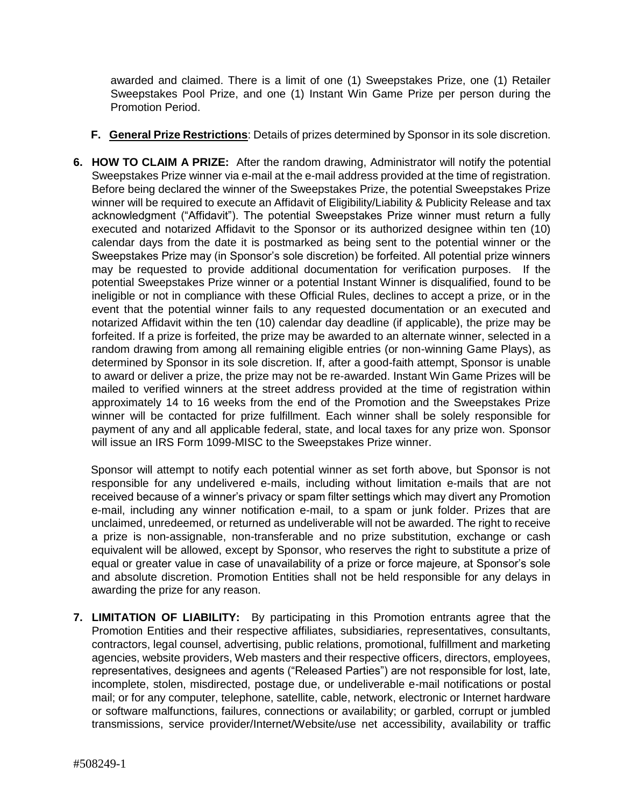awarded and claimed. There is a limit of one (1) Sweepstakes Prize, one (1) Retailer Sweepstakes Pool Prize, and one (1) Instant Win Game Prize per person during the Promotion Period.

- **F. General Prize Restrictions**: Details of prizes determined by Sponsor in its sole discretion.
- **6. HOW TO CLAIM A PRIZE:** After the random drawing, Administrator will notify the potential Sweepstakes Prize winner via e-mail at the e-mail address provided at the time of registration. Before being declared the winner of the Sweepstakes Prize, the potential Sweepstakes Prize winner will be required to execute an Affidavit of Eligibility/Liability & Publicity Release and tax acknowledgment ("Affidavit"). The potential Sweepstakes Prize winner must return a fully executed and notarized Affidavit to the Sponsor or its authorized designee within ten (10) calendar days from the date it is postmarked as being sent to the potential winner or the Sweepstakes Prize may (in Sponsor's sole discretion) be forfeited. All potential prize winners may be requested to provide additional documentation for verification purposes. If the potential Sweepstakes Prize winner or a potential Instant Winner is disqualified, found to be ineligible or not in compliance with these Official Rules, declines to accept a prize, or in the event that the potential winner fails to any requested documentation or an executed and notarized Affidavit within the ten (10) calendar day deadline (if applicable), the prize may be forfeited. If a prize is forfeited, the prize may be awarded to an alternate winner, selected in a random drawing from among all remaining eligible entries (or non-winning Game Plays), as determined by Sponsor in its sole discretion. If, after a good-faith attempt, Sponsor is unable to award or deliver a prize, the prize may not be re-awarded. Instant Win Game Prizes will be mailed to verified winners at the street address provided at the time of registration within approximately 14 to 16 weeks from the end of the Promotion and the Sweepstakes Prize winner will be contacted for prize fulfillment. Each winner shall be solely responsible for payment of any and all applicable federal, state, and local taxes for any prize won. Sponsor will issue an IRS Form 1099-MISC to the Sweepstakes Prize winner.

Sponsor will attempt to notify each potential winner as set forth above, but Sponsor is not responsible for any undelivered e-mails, including without limitation e-mails that are not received because of a winner's privacy or spam filter settings which may divert any Promotion e-mail, including any winner notification e-mail, to a spam or junk folder. Prizes that are unclaimed, unredeemed, or returned as undeliverable will not be awarded. The right to receive a prize is non-assignable, non-transferable and no prize substitution, exchange or cash equivalent will be allowed, except by Sponsor, who reserves the right to substitute a prize of equal or greater value in case of unavailability of a prize or force majeure, at Sponsor's sole and absolute discretion. Promotion Entities shall not be held responsible for any delays in awarding the prize for any reason.

**7. LIMITATION OF LIABILITY:** By participating in this Promotion entrants agree that the Promotion Entities and their respective affiliates, subsidiaries, representatives, consultants, contractors, legal counsel, advertising, public relations, promotional, fulfillment and marketing agencies, website providers, Web masters and their respective officers, directors, employees, representatives, designees and agents ("Released Parties") are not responsible for lost, late, incomplete, stolen, misdirected, postage due, or undeliverable e-mail notifications or postal mail; or for any computer, telephone, satellite, cable, network, electronic or Internet hardware or software malfunctions, failures, connections or availability; or garbled, corrupt or jumbled transmissions, service provider/Internet/Website/use net accessibility, availability or traffic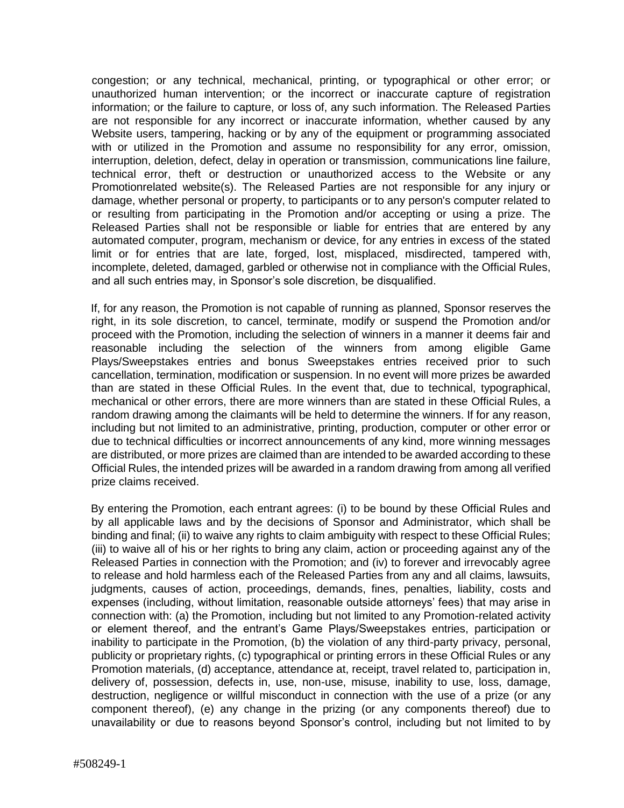congestion; or any technical, mechanical, printing, or typographical or other error; or unauthorized human intervention; or the incorrect or inaccurate capture of registration information; or the failure to capture, or loss of, any such information. The Released Parties are not responsible for any incorrect or inaccurate information, whether caused by any Website users, tampering, hacking or by any of the equipment or programming associated with or utilized in the Promotion and assume no responsibility for any error, omission, interruption, deletion, defect, delay in operation or transmission, communications line failure, technical error, theft or destruction or unauthorized access to the Website or any Promotionrelated website(s). The Released Parties are not responsible for any injury or damage, whether personal or property, to participants or to any person's computer related to or resulting from participating in the Promotion and/or accepting or using a prize. The Released Parties shall not be responsible or liable for entries that are entered by any automated computer, program, mechanism or device, for any entries in excess of the stated limit or for entries that are late, forged, lost, misplaced, misdirected, tampered with, incomplete, deleted, damaged, garbled or otherwise not in compliance with the Official Rules, and all such entries may, in Sponsor's sole discretion, be disqualified.

If, for any reason, the Promotion is not capable of running as planned, Sponsor reserves the right, in its sole discretion, to cancel, terminate, modify or suspend the Promotion and/or proceed with the Promotion, including the selection of winners in a manner it deems fair and reasonable including the selection of the winners from among eligible Game Plays/Sweepstakes entries and bonus Sweepstakes entries received prior to such cancellation, termination, modification or suspension. In no event will more prizes be awarded than are stated in these Official Rules. In the event that, due to technical, typographical, mechanical or other errors, there are more winners than are stated in these Official Rules, a random drawing among the claimants will be held to determine the winners. If for any reason, including but not limited to an administrative, printing, production, computer or other error or due to technical difficulties or incorrect announcements of any kind, more winning messages are distributed, or more prizes are claimed than are intended to be awarded according to these Official Rules, the intended prizes will be awarded in a random drawing from among all verified prize claims received.

By entering the Promotion, each entrant agrees: (i) to be bound by these Official Rules and by all applicable laws and by the decisions of Sponsor and Administrator, which shall be binding and final; (ii) to waive any rights to claim ambiguity with respect to these Official Rules; (iii) to waive all of his or her rights to bring any claim, action or proceeding against any of the Released Parties in connection with the Promotion; and (iv) to forever and irrevocably agree to release and hold harmless each of the Released Parties from any and all claims, lawsuits, judgments, causes of action, proceedings, demands, fines, penalties, liability, costs and expenses (including, without limitation, reasonable outside attorneys' fees) that may arise in connection with: (a) the Promotion, including but not limited to any Promotion-related activity or element thereof, and the entrant's Game Plays/Sweepstakes entries, participation or inability to participate in the Promotion, (b) the violation of any third-party privacy, personal, publicity or proprietary rights, (c) typographical or printing errors in these Official Rules or any Promotion materials, (d) acceptance, attendance at, receipt, travel related to, participation in, delivery of, possession, defects in, use, non-use, misuse, inability to use, loss, damage, destruction, negligence or willful misconduct in connection with the use of a prize (or any component thereof), (e) any change in the prizing (or any components thereof) due to unavailability or due to reasons beyond Sponsor's control, including but not limited to by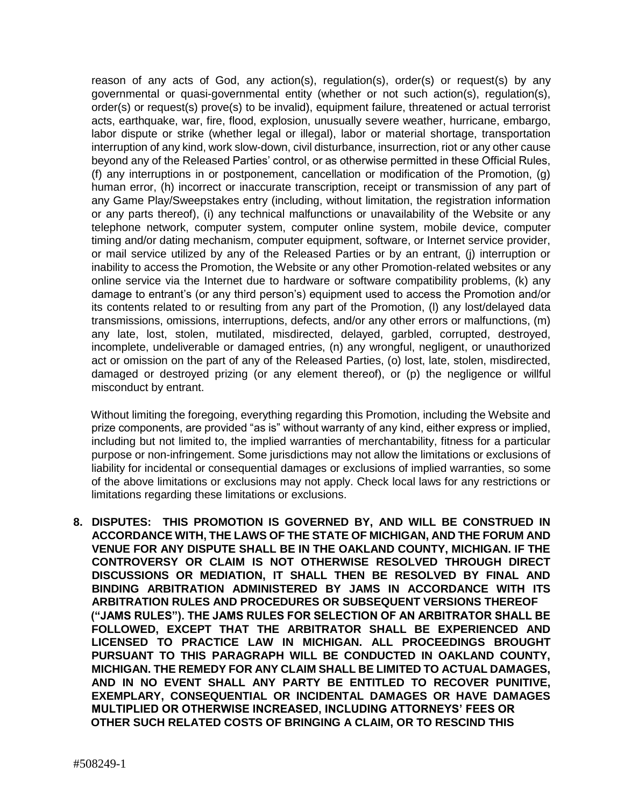reason of any acts of God, any action(s), regulation(s), order(s) or request(s) by any governmental or quasi-governmental entity (whether or not such action(s), regulation(s), order(s) or request(s) prove(s) to be invalid), equipment failure, threatened or actual terrorist acts, earthquake, war, fire, flood, explosion, unusually severe weather, hurricane, embargo, labor dispute or strike (whether legal or illegal), labor or material shortage, transportation interruption of any kind, work slow-down, civil disturbance, insurrection, riot or any other cause beyond any of the Released Parties' control, or as otherwise permitted in these Official Rules, (f) any interruptions in or postponement, cancellation or modification of the Promotion, (g) human error, (h) incorrect or inaccurate transcription, receipt or transmission of any part of any Game Play/Sweepstakes entry (including, without limitation, the registration information or any parts thereof), (i) any technical malfunctions or unavailability of the Website or any telephone network, computer system, computer online system, mobile device, computer timing and/or dating mechanism, computer equipment, software, or Internet service provider, or mail service utilized by any of the Released Parties or by an entrant, (j) interruption or inability to access the Promotion, the Website or any other Promotion-related websites or any online service via the Internet due to hardware or software compatibility problems, (k) any damage to entrant's (or any third person's) equipment used to access the Promotion and/or its contents related to or resulting from any part of the Promotion, (l) any lost/delayed data transmissions, omissions, interruptions, defects, and/or any other errors or malfunctions, (m) any late, lost, stolen, mutilated, misdirected, delayed, garbled, corrupted, destroyed, incomplete, undeliverable or damaged entries, (n) any wrongful, negligent, or unauthorized act or omission on the part of any of the Released Parties, (o) lost, late, stolen, misdirected, damaged or destroyed prizing (or any element thereof), or (p) the negligence or willful misconduct by entrant.

Without limiting the foregoing, everything regarding this Promotion, including the Website and prize components, are provided "as is" without warranty of any kind, either express or implied, including but not limited to, the implied warranties of merchantability, fitness for a particular purpose or non-infringement. Some jurisdictions may not allow the limitations or exclusions of liability for incidental or consequential damages or exclusions of implied warranties, so some of the above limitations or exclusions may not apply. Check local laws for any restrictions or limitations regarding these limitations or exclusions.

**8. DISPUTES: THIS PROMOTION IS GOVERNED BY, AND WILL BE CONSTRUED IN ACCORDANCE WITH, THE LAWS OF THE STATE OF MICHIGAN, AND THE FORUM AND VENUE FOR ANY DISPUTE SHALL BE IN THE OAKLAND COUNTY, MICHIGAN. IF THE CONTROVERSY OR CLAIM IS NOT OTHERWISE RESOLVED THROUGH DIRECT DISCUSSIONS OR MEDIATION, IT SHALL THEN BE RESOLVED BY FINAL AND BINDING ARBITRATION ADMINISTERED BY JAMS IN ACCORDANCE WITH ITS ARBITRATION RULES AND PROCEDURES OR SUBSEQUENT VERSIONS THEREOF ("JAMS RULES"). THE JAMS RULES FOR SELECTION OF AN ARBITRATOR SHALL BE FOLLOWED, EXCEPT THAT THE ARBITRATOR SHALL BE EXPERIENCED AND LICENSED TO PRACTICE LAW IN MICHIGAN. ALL PROCEEDINGS BROUGHT PURSUANT TO THIS PARAGRAPH WILL BE CONDUCTED IN OAKLAND COUNTY, MICHIGAN. THE REMEDY FOR ANY CLAIM SHALL BE LIMITED TO ACTUAL DAMAGES, AND IN NO EVENT SHALL ANY PARTY BE ENTITLED TO RECOVER PUNITIVE, EXEMPLARY, CONSEQUENTIAL OR INCIDENTAL DAMAGES OR HAVE DAMAGES MULTIPLIED OR OTHERWISE INCREASED, INCLUDING ATTORNEYS' FEES OR OTHER SUCH RELATED COSTS OF BRINGING A CLAIM, OR TO RESCIND THIS**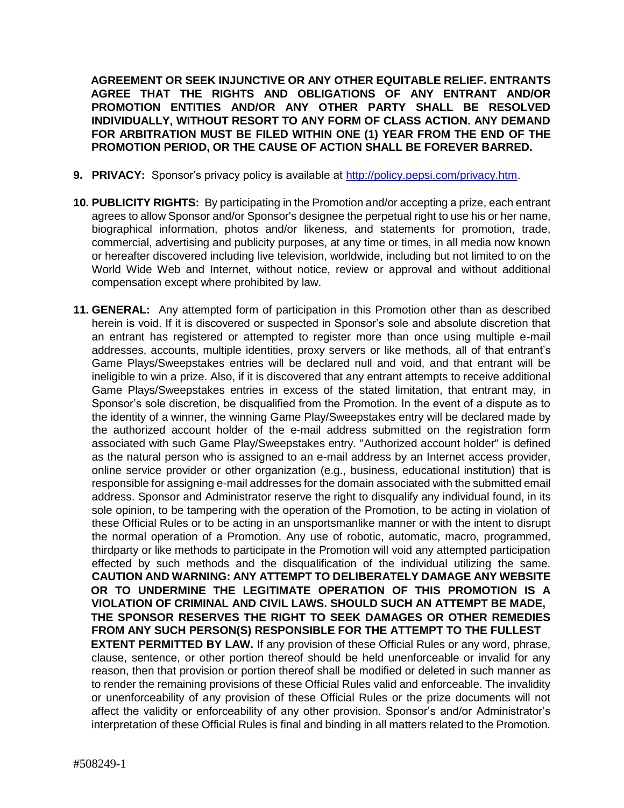**AGREEMENT OR SEEK INJUNCTIVE OR ANY OTHER EQUITABLE RELIEF. ENTRANTS AGREE THAT THE RIGHTS AND OBLIGATIONS OF ANY ENTRANT AND/OR PROMOTION ENTITIES AND/OR ANY OTHER PARTY SHALL BE RESOLVED INDIVIDUALLY, WITHOUT RESORT TO ANY FORM OF CLASS ACTION. ANY DEMAND FOR ARBITRATION MUST BE FILED WITHIN ONE (1) YEAR FROM THE END OF THE PROMOTION PERIOD, OR THE CAUSE OF ACTION SHALL BE FOREVER BARRED.** 

- **9. PRIVACY:** Sponsor's privacy policy is available at [http://policy.pepsi.com/privacy.htm.](http://policy.pepsi.com/privacy.htm)
- **10. PUBLICITY RIGHTS:** By participating in the Promotion and/or accepting a prize, each entrant agrees to allow Sponsor and/or Sponsor's designee the perpetual right to use his or her name, biographical information, photos and/or likeness, and statements for promotion, trade, commercial, advertising and publicity purposes, at any time or times, in all media now known or hereafter discovered including live television, worldwide, including but not limited to on the World Wide Web and Internet, without notice, review or approval and without additional compensation except where prohibited by law.
- **11. GENERAL:** Any attempted form of participation in this Promotion other than as described herein is void. If it is discovered or suspected in Sponsor's sole and absolute discretion that an entrant has registered or attempted to register more than once using multiple e-mail addresses, accounts, multiple identities, proxy servers or like methods, all of that entrant's Game Plays/Sweepstakes entries will be declared null and void, and that entrant will be ineligible to win a prize. Also, if it is discovered that any entrant attempts to receive additional Game Plays/Sweepstakes entries in excess of the stated limitation, that entrant may, in Sponsor's sole discretion, be disqualified from the Promotion. In the event of a dispute as to the identity of a winner, the winning Game Play/Sweepstakes entry will be declared made by the authorized account holder of the e-mail address submitted on the registration form associated with such Game Play/Sweepstakes entry. "Authorized account holder" is defined as the natural person who is assigned to an e-mail address by an Internet access provider, online service provider or other organization (e.g., business, educational institution) that is responsible for assigning e-mail addresses for the domain associated with the submitted email address. Sponsor and Administrator reserve the right to disqualify any individual found, in its sole opinion, to be tampering with the operation of the Promotion, to be acting in violation of these Official Rules or to be acting in an unsportsmanlike manner or with the intent to disrupt the normal operation of a Promotion. Any use of robotic, automatic, macro, programmed, thirdparty or like methods to participate in the Promotion will void any attempted participation effected by such methods and the disqualification of the individual utilizing the same. **CAUTION AND WARNING: ANY ATTEMPT TO DELIBERATELY DAMAGE ANY WEBSITE OR TO UNDERMINE THE LEGITIMATE OPERATION OF THIS PROMOTION IS A VIOLATION OF CRIMINAL AND CIVIL LAWS. SHOULD SUCH AN ATTEMPT BE MADE, THE SPONSOR RESERVES THE RIGHT TO SEEK DAMAGES OR OTHER REMEDIES FROM ANY SUCH PERSON(S) RESPONSIBLE FOR THE ATTEMPT TO THE FULLEST EXTENT PERMITTED BY LAW.** If any provision of these Official Rules or any word, phrase, clause, sentence, or other portion thereof should be held unenforceable or invalid for any reason, then that provision or portion thereof shall be modified or deleted in such manner as to render the remaining provisions of these Official Rules valid and enforceable. The invalidity or unenforceability of any provision of these Official Rules or the prize documents will not affect the validity or enforceability of any other provision. Sponsor's and/or Administrator's interpretation of these Official Rules is final and binding in all matters related to the Promotion.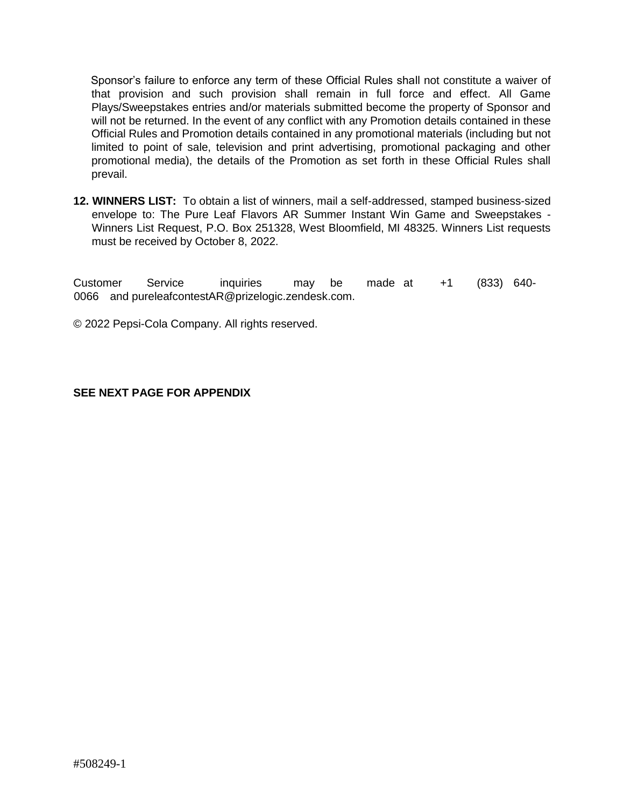Sponsor's failure to enforce any term of these Official Rules shall not constitute a waiver of that provision and such provision shall remain in full force and effect. All Game Plays/Sweepstakes entries and/or materials submitted become the property of Sponsor and will not be returned. In the event of any conflict with any Promotion details contained in these Official Rules and Promotion details contained in any promotional materials (including but not limited to point of sale, television and print advertising, promotional packaging and other promotional media), the details of the Promotion as set forth in these Official Rules shall prevail.

**12. WINNERS LIST:** To obtain a list of winners, mail a self-addressed, stamped business-sized envelope to: The Pure Leaf Flavors AR Summer Instant Win Game and Sweepstakes - Winners List Request, P.O. Box 251328, West Bloomfield, MI 48325. Winners List requests must be received by October 8, 2022.

Customer Service inquiries may be made at +1 (833) 640- 0066 and pureleafcontestAR@prizelogic.zendesk.com.

© 2022 Pepsi-Cola Company. All rights reserved.

#### **SEE NEXT PAGE FOR APPENDIX**